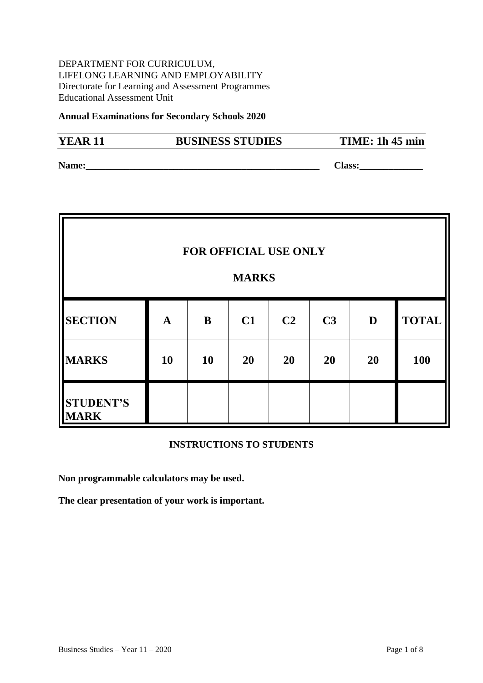DEPARTMENT FOR CURRICULUM, LIFELONG LEARNING AND EMPLOYABILITY Directorate for Learning and Assessment Programmes Educational Assessment Unit

#### **Annual Examinations for Secondary Schools 2020**

# **YEAR 11 BUSINESS STUDIES TIME: 1h 45 min**

**Name: Name: Class: Class: Class: Class: Class: Class: Class: Class: Class: Class: CLASS: CLASS: CLASS: CLASS: CLASS: CLASS: CLASS: CLASS: CLASS: CLASS: CLASS: CLASS: CLASS:** 

| FOR OFFICIAL USE ONLY<br><b>MARKS</b> |              |           |    |                |                |    |              |
|---------------------------------------|--------------|-----------|----|----------------|----------------|----|--------------|
| <b>SECTION</b>                        | $\mathbf{A}$ | B         | C1 | C <sub>2</sub> | C <sub>3</sub> | D  | <b>TOTAL</b> |
| <b>MARKS</b>                          | <b>10</b>    | <b>10</b> | 20 | 20             | 20             | 20 | <b>100</b>   |
| <b>STUDENT'S</b><br><b>MARK</b>       |              |           |    |                |                |    |              |

#### **INSTRUCTIONS TO STUDENTS**

**Non programmable calculators may be used.** 

**The clear presentation of your work is important.**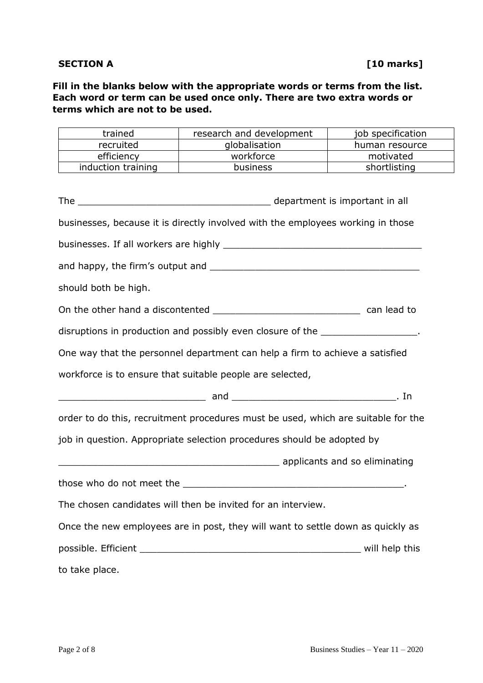### **SECTION A** [10 marks]

**Fill in the blanks below with the appropriate words or terms from the list. Each word or term can be used once only. There are two extra words or terms which are not to be used.**

| trained              | research and development                                                                                       | job specification |  |  |
|----------------------|----------------------------------------------------------------------------------------------------------------|-------------------|--|--|
| recruited            | globalisation                                                                                                  | human resource    |  |  |
| efficiency           | workforce                                                                                                      | motivated         |  |  |
| induction training   | business                                                                                                       | shortlisting      |  |  |
|                      | businesses, because it is directly involved with the employees working in those                                |                   |  |  |
|                      |                                                                                                                |                   |  |  |
|                      |                                                                                                                |                   |  |  |
| should both be high. |                                                                                                                |                   |  |  |
|                      |                                                                                                                |                   |  |  |
|                      | disruptions in production and possibly even closure of the _________________.                                  |                   |  |  |
|                      | One way that the personnel department can help a firm to achieve a satisfied                                   |                   |  |  |
|                      | workforce is to ensure that suitable people are selected,                                                      |                   |  |  |
|                      |                                                                                                                |                   |  |  |
|                      | order to do this, recruitment procedures must be used, which are suitable for the                              |                   |  |  |
|                      | job in question. Appropriate selection procedures should be adopted by                                         |                   |  |  |
|                      | applicants and so eliminating and some contract to the contract of the set of the set of the set of the set of |                   |  |  |
|                      |                                                                                                                |                   |  |  |
|                      | The chosen candidates will then be invited for an interview.                                                   |                   |  |  |
|                      | Once the new employees are in post, they will want to settle down as quickly as                                |                   |  |  |
|                      |                                                                                                                |                   |  |  |
| to take place.       |                                                                                                                |                   |  |  |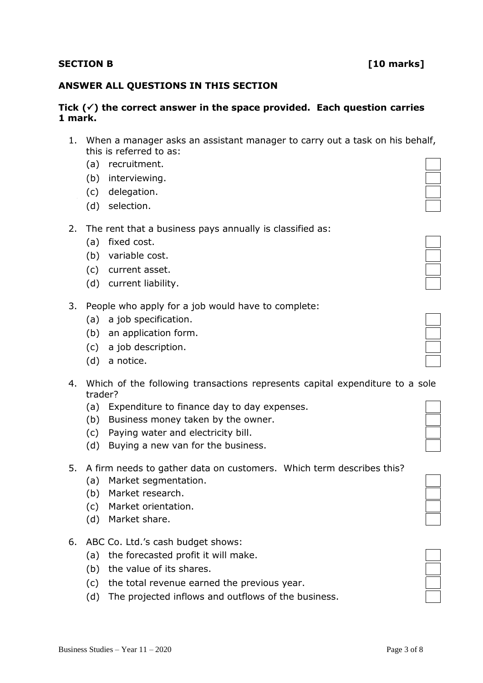# **SECTION B** [10 marks]

### **ANSWER ALL QUESTIONS IN THIS SECTION**

### **Tick () the correct answer in the space provided. Each question carries 1 mark.**

- 1. When a manager asks an assistant manager to carry out a task on his behalf, this is referred to as:
	- (a) recruitment.
	- (b) interviewing.
	- (c) delegation.
	- (d) selection.
- 2. The rent that a business pays annually is classified as:
	- (a) fixed cost.
	- (b) variable cost.
	- (c) current asset.
	- (d) current liability.
- 3. People who apply for a job would have to complete:
	- (a) a job specification.
	- (b) an application form.
	- (c) a job description.
	- (d) a notice.
- 4. Which of the following transactions represents capital expenditure to a sole trader?
	- (a) Expenditure to finance day to day expenses.
	- (b) Business money taken by the owner.
	- (c) Paying water and electricity bill.
	- (d) Buying a new van for the business.

### 5. A firm needs to gather data on customers. Which term describes this?

- (a) Market segmentation.
- (b) Market research.
- (c) Market orientation.
- (d) Market share.
- 6. ABC Co. Ltd.'s cash budget shows:
	- (a) the forecasted profit it will make.
	- (b) the value of its shares.
	- (c) the total revenue earned the previous year.
	- (d) The projected inflows and outflows of the business.

| ▅ |  |
|---|--|
|   |  |
|   |  |

| ═ |  |
|---|--|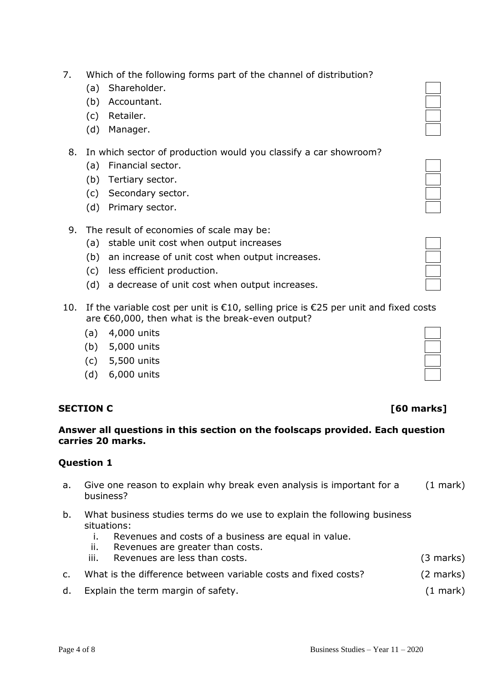## 7. Which of the following forms part of the channel of distribution?

- (a) Shareholder.
- (b) Accountant.
- (c) Retailer.
- (d) Manager.

## 8. In which sector of production would you classify a car showroom?

- (a) Financial sector.
- (b) Tertiary sector.
- (c) Secondary sector.
- (d) Primary sector.
- 9. The result of economies of scale may be:
	- (a) stable unit cost when output increases
	- (b) an increase of unit cost when output increases.
	- (c) less efficient production.
	- (d) a decrease of unit cost when output increases.
- 10. If the variable cost per unit is  $\epsilon$ 10, selling price is  $\epsilon$ 25 per unit and fixed costs are €60,000, then what is the break-even output?
	- (a) 4,000 units
	- (b) 5,000 units
	- (c) 5,500 units
	- (d) 6,000 units

## **SECTION C** [60 marks]

### **Answer all questions in this section on the foolscaps provided. Each question carries 20 marks.**

## **Question 1**

- a. Give one reason to explain why break even analysis is important for a business? (1 mark)
- b. What business studies terms do we use to explain the following business situations:
	- i. Revenues and costs of a business are equal in value.
	- ii. Revenues are greater than costs.
	- iii. Revenues are less than costs. (3 marks)
- c. What is the difference between variable costs and fixed costs? (2 marks)
- d. Explain the term margin of safety. (1 mark)

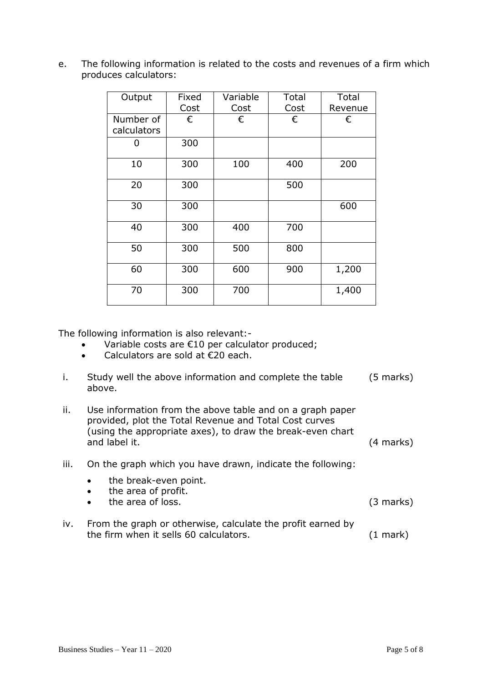e. The following information is related to the costs and revenues of a firm which produces calculators:

| Output                   | Fixed<br>Cost | Variable<br>Cost | Total<br>Cost | Total<br>Revenue |
|--------------------------|---------------|------------------|---------------|------------------|
| Number of<br>calculators | €             | €                | €             | €                |
| 0                        | 300           |                  |               |                  |
| 10                       | 300           | 100              | 400           | 200              |
| 20                       | 300           |                  | 500           |                  |
| 30                       | 300           |                  |               | 600              |
| 40                       | 300           | 400              | 700           |                  |
| 50                       | 300           | 500              | 800           |                  |
| 60                       | 300           | 600              | 900           | 1,200            |
| 70                       | 300           | 700              |               | 1,400            |

The following information is also relevant:-

- Variable costs are €10 per calculator produced;
- Calculators are sold at €20 each.

| Study well the above information and complete the table | (5 marks) |
|---------------------------------------------------------|-----------|
| above.                                                  |           |

| Ш. | Use information from the above table and on a graph paper  |                     |
|----|------------------------------------------------------------|---------------------|
|    | provided, plot the Total Revenue and Total Cost curves     |                     |
|    | (using the appropriate axes), to draw the break-even chart |                     |
|    | and label it.                                              | $(4 \text{ marks})$ |

- iii. On the graph which you have drawn, indicate the following:
	- the break-even point.
	- the area of profit.
	- the area of loss. (3 marks)
- iv. From the graph or otherwise, calculate the profit earned by the firm when it sells 60 calculators. (1 mark)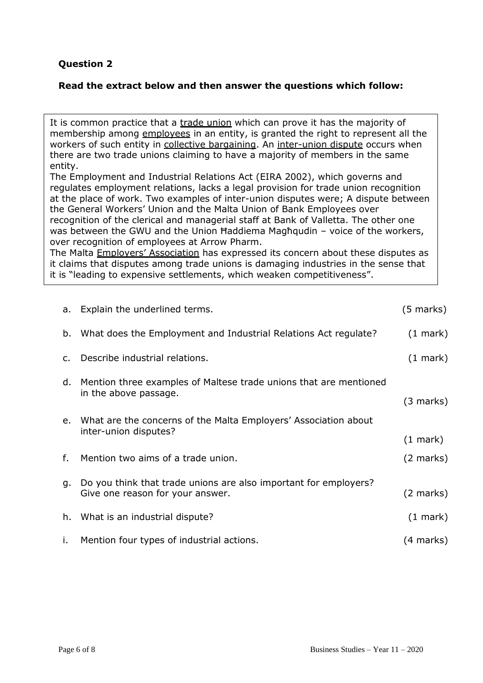# **Question 2**

## **Read the extract below and then answer the questions which follow:**

It is common practice that a trade union which can prove it has the majority of membership among employees in an entity, is granted the right to represent all the workers of such entity in collective bargaining. An inter-union dispute occurs when there are two trade unions claiming to have a majority of members in the same entity.

The Employment and Industrial Relations Act (EIRA 2002), which governs and regulates employment relations, lacks a legal provision for trade union recognition at the place of work. Two examples of inter-union disputes were; A dispute between the General Workers' Union and the Malta Union of Bank Employees over recognition of the clerical and managerial staff at Bank of Valletta. The other one was between the GWU and the Union Haddiema Magħqudin - voice of the workers, over recognition of employees at Arrow Pharm.

The Malta Employers' Association has expressed its concern about these disputes as it claims that disputes among trade unions is damaging industries in the sense that it is "leading to expensive settlements, which weaken competitiveness".

|                | a. Explain the underlined terms.                                                                     |                     |
|----------------|------------------------------------------------------------------------------------------------------|---------------------|
| b.             | What does the Employment and Industrial Relations Act regulate?                                      | $(1 \text{ mark})$  |
| $\mathsf{C}$ . | Describe industrial relations.                                                                       | $(1 \text{ mark})$  |
| d.             | Mention three examples of Maltese trade unions that are mentioned<br>in the above passage.           | (3 marks)           |
|                | e. What are the concerns of the Malta Employers' Association about<br>inter-union disputes?          | $(1 \text{ mark})$  |
| f.             | Mention two aims of a trade union.                                                                   | $(2 \text{ marks})$ |
| g.             | Do you think that trade unions are also important for employers?<br>Give one reason for your answer. | (2 marks)           |
|                | h. What is an industrial dispute?                                                                    | $(1 \text{ mark})$  |
| i.             | Mention four types of industrial actions.                                                            | (4 marks)           |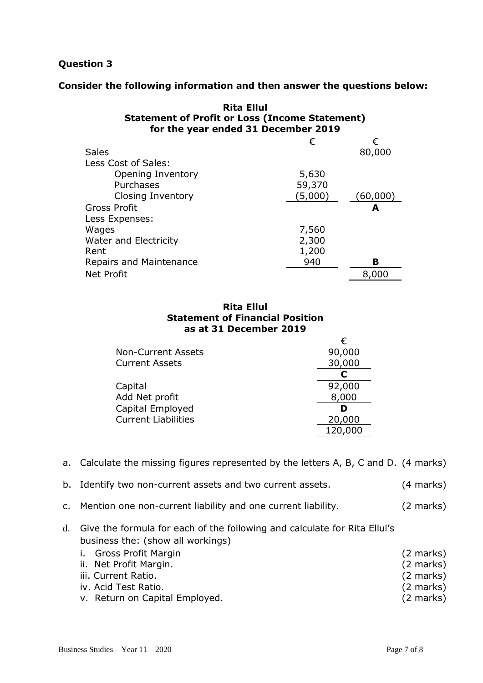## **Question 3**

### **Consider the following information and then answer the questions below:**

| <b>Rita Ellul</b><br><b>Statement of Profit or Loss (Income Statement)</b><br>for the year ended 31 December 2019 |         |           |
|-------------------------------------------------------------------------------------------------------------------|---------|-----------|
|                                                                                                                   | €       | €         |
| <b>Sales</b>                                                                                                      |         | 80,000    |
| Less Cost of Sales:                                                                                               |         |           |
| Opening Inventory                                                                                                 | 5,630   |           |
| Purchases                                                                                                         | 59,370  |           |
| Closing Inventory                                                                                                 | (5,000) | (60, 000) |
| Gross Profit                                                                                                      |         | А         |
| Less Expenses:                                                                                                    |         |           |
| Wages                                                                                                             | 7,560   |           |
| <b>Water and Electricity</b>                                                                                      | 2,300   |           |
| Rent                                                                                                              | 1,200   |           |
| <b>Repairs and Maintenance</b>                                                                                    | 940     | в         |
| <b>Net Profit</b>                                                                                                 |         | 8,000     |

#### **Rita Ellul Statement of Financial Position as at 31 December 2019**

|                            | €       |
|----------------------------|---------|
| <b>Non-Current Assets</b>  | 90,000  |
| <b>Current Assets</b>      | 30,000  |
|                            |         |
| Capital                    | 92,000  |
| Add Net profit             | 8,000   |
| Capital Employed           |         |
| <b>Current Liabilities</b> | 20,000  |
|                            | 120,000 |

a. Calculate the missing figures represented by the letters A, B, C and D. (4 marks)

|  |  | b. Identify two non-current assets and two current assets. | $(4$ marks) |
|--|--|------------------------------------------------------------|-------------|
|--|--|------------------------------------------------------------|-------------|

- c. Mention one non-current liability and one current liability. (2 marks)
- d. Give the formula for each of the following and calculate for Rita Ellul's business the: (show all workings)

| i. Gross Profit Margin         | $(2 \text{ marks})$ |
|--------------------------------|---------------------|
| ii. Net Profit Margin.         | $(2 \text{ marks})$ |
| iii. Current Ratio.            | $(2 \text{ marks})$ |
| iv. Acid Test Ratio.           | $(2 \text{ marks})$ |
| v. Return on Capital Employed. | $(2 \text{ marks})$ |